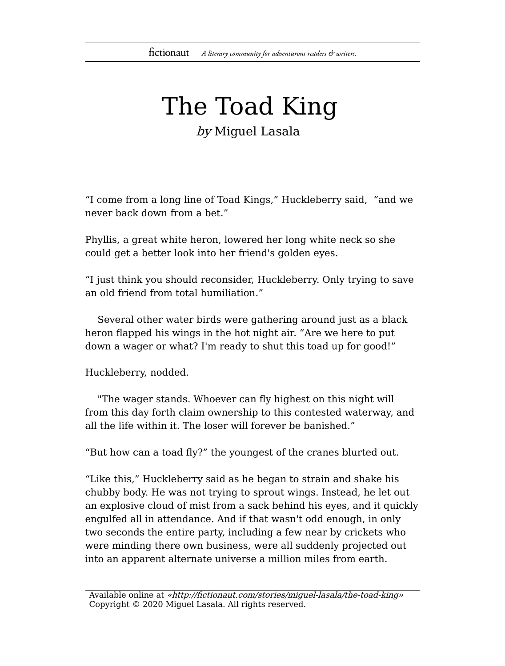## The Toad King by Miguel Lasala

"I come from a long line of Toad Kings," Huckleberry said, "and we

Phyllis, a great white heron, lowered her long white neck so she could get a better look into her friend's golden eyes.

"I just think you should reconsider, Huckleberry. Only trying to save an old friend from total humiliation."

Several other water birds were gathering around just as a black heron flapped his wings in the hot night air. "Are we here to put down a wager or what? I'm ready to shut this toad up for good!"

Huckleberry, nodded.

never back down from a bet."

"The wager stands. Whoever can fly highest on this night will from this day forth claim ownership to this contested waterway, and all the life within it. The loser will forever be banished."

"But how can a toad fly?" the youngest of the cranes blurted out.

"Like this," Huckleberry said as he began to strain and shake his chubby body. He was not trying to sprout wings. Instead, he let out an explosive cloud of mist from a sack behind his eyes, and it quickly engulfed all in attendance. And if that wasn't odd enough, in only two seconds the entire party, including a few near by crickets who were minding there own business, were all suddenly projected out into an apparent alternate universe a million miles from earth.

Available online at «http://fictionaut.com/stories/miguel-lasala/the-toad-king» Copyright © 2020 Miguel Lasala. All rights reserved.